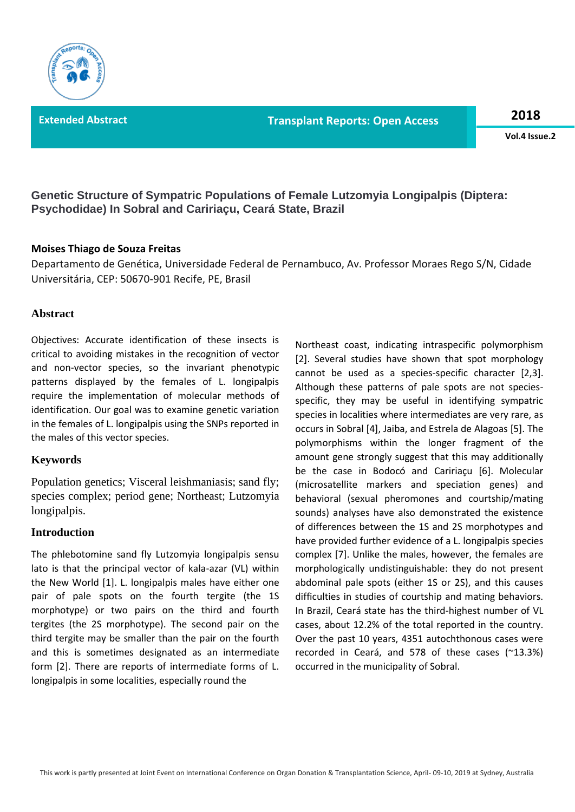**Extended Abstract Transplant Reports: Open Access 2018**

**Vol.4 Issue.2**

**Genetic Structure of Sympatric Populations of Female Lutzomyia Longipalpis (Diptera: Psychodidae) In Sobral and Caririaçu, Ceará State, Brazil**

### **Moises Thiago de Souza Freitas**

Departamento de Genética, Universidade Federal de Pernambuco, Av. Professor Moraes Rego S/N, Cidade Universitária, CEP: 50670-901 Recife, PE, Brasil

## **Abstract**

Objectives: Accurate identification of these insects is critical to avoiding mistakes in the recognition of vector and non-vector species, so the invariant phenotypic patterns displayed by the females of L. longipalpis require the implementation of molecular methods of identification. Our goal was to examine genetic variation in the females of L. longipalpis using the SNPs reported in the males of this vector species.

### **Keywords**

Population genetics; Visceral leishmaniasis; sand fly; species complex; period gene; Northeast; Lutzomyia longipalpis.

### **Introduction**

The phlebotomine sand fly Lutzomyia longipalpis sensu lato is that the principal vector of kala-azar (VL) within the New World [1]. L. longipalpis males have either one pair of pale spots on the fourth tergite (the 1S morphotype) or two pairs on the third and fourth tergites (the 2S morphotype). The second pair on the third tergite may be smaller than the pair on the fourth and this is sometimes designated as an intermediate form [2]. There are reports of intermediate forms of L. longipalpis in some localities, especially round the

Northeast coast, indicating intraspecific polymorphism [2]. Several studies have shown that spot morphology cannot be used as a species-specific character [2,3]. Although these patterns of pale spots are not speciesspecific, they may be useful in identifying sympatric species in localities where intermediates are very rare, as occurs in Sobral [4], Jaiba, and Estrela de Alagoas [5]. The polymorphisms within the longer fragment of the amount gene strongly suggest that this may additionally be the case in Bodocó and Caririaçu [6]. Molecular (microsatellite markers and speciation genes) and behavioral (sexual pheromones and courtship/mating sounds) analyses have also demonstrated the existence of differences between the 1S and 2S morphotypes and have provided further evidence of a L. longipalpis species complex [7]. Unlike the males, however, the females are morphologically undistinguishable: they do not present abdominal pale spots (either 1S or 2S), and this causes difficulties in studies of courtship and mating behaviors. In Brazil, Ceará state has the third-highest number of VL cases, about 12.2% of the total reported in the country. Over the past 10 years, 4351 autochthonous cases were recorded in Ceará, and 578 of these cases (~13.3%) occurred in the municipality of Sobral.